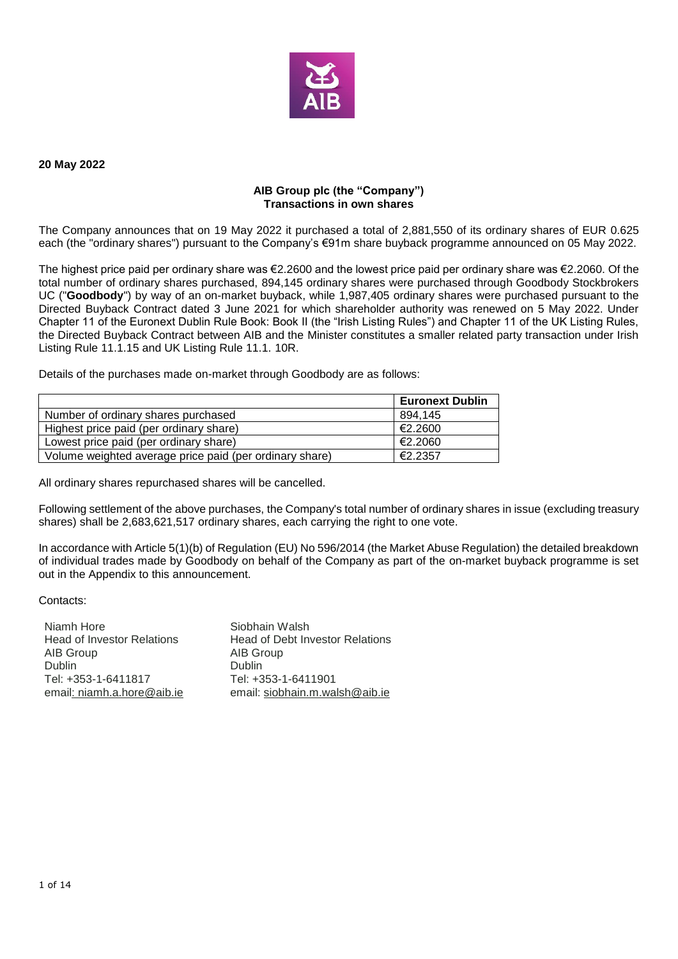

#### **20 May 2022**

#### **AIB Group plc (the "Company") Transactions in own shares**

The Company announces that on 19 May 2022 it purchased a total of 2,881,550 of its ordinary shares of EUR 0.625 each (the "ordinary shares") pursuant to the Company's €91m share buyback programme announced on 05 May 2022.

The highest price paid per ordinary share was €2.2600 and the lowest price paid per ordinary share was €2.2060. Of the total number of ordinary shares purchased, 894,145 ordinary shares were purchased through Goodbody Stockbrokers UC ("**Goodbody**") by way of an on-market buyback, while 1,987,405 ordinary shares were purchased pursuant to the Directed Buyback Contract dated 3 June 2021 for which shareholder authority was renewed on 5 May 2022. Under Chapter 11 of the Euronext Dublin Rule Book: Book II (the "Irish Listing Rules") and Chapter 11 of the UK Listing Rules, the Directed Buyback Contract between AIB and the Minister constitutes a smaller related party transaction under Irish Listing Rule 11.1.15 and UK Listing Rule 11.1. 10R.

Details of the purchases made on-market through Goodbody are as follows:

|                                                         | <b>Euronext Dublin</b> |
|---------------------------------------------------------|------------------------|
| Number of ordinary shares purchased                     | 894.145                |
| Highest price paid (per ordinary share)                 | €2.2600                |
| Lowest price paid (per ordinary share)                  | €2.2060                |
| Volume weighted average price paid (per ordinary share) | €2.2357                |

All ordinary shares repurchased shares will be cancelled.

Following settlement of the above purchases, the Company's total number of ordinary shares in issue (excluding treasury shares) shall be 2,683,621,517 ordinary shares, each carrying the right to one vote.

In accordance with Article 5(1)(b) of Regulation (EU) No 596/2014 (the Market Abuse Regulation) the detailed breakdown of individual trades made by Goodbody on behalf of the Company as part of the on-market buyback programme is set out in the Appendix to this announcement.

Contacts:

| Niamh Hore                        | Siobhain Walsh                         |
|-----------------------------------|----------------------------------------|
| <b>Head of Investor Relations</b> | <b>Head of Debt Investor Relations</b> |
| AIB Group                         | AIB Group                              |
| Dublin                            | <b>Dublin</b>                          |
| Tel: +353-1-6411817               | Tel: +353-1-6411901                    |
| email: niamh.a.hore@aib.ie        | email: siobhain.m.walsh@aib.ie         |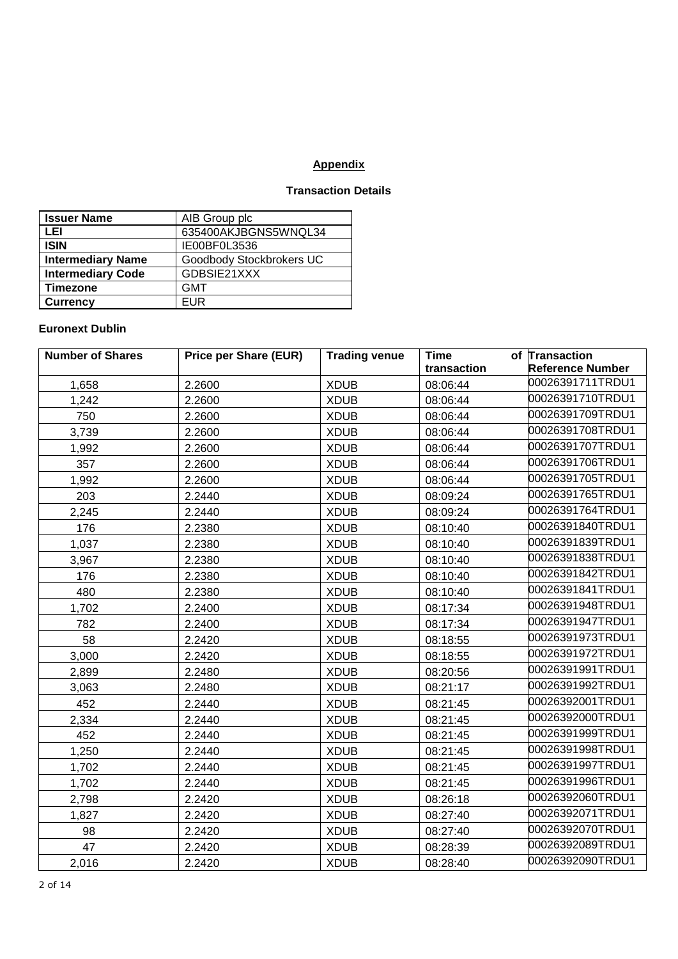# **Appendix**

# **Transaction Details**

| <b>Issuer Name</b>       | AIB Group plc            |
|--------------------------|--------------------------|
| LEI                      | 635400AKJBGNS5WNQL34     |
| <b>ISIN</b>              | IE00BF0L3536             |
| <b>Intermediary Name</b> | Goodbody Stockbrokers UC |
| <b>Intermediary Code</b> | GDBSIE21XXX              |
| <b>Timezone</b>          | <b>GMT</b>               |
| <b>Currency</b>          | FUR                      |

# **Euronext Dublin**

| <b>Number of Shares</b> | <b>Price per Share (EUR)</b> | <b>Trading venue</b> | <b>Time</b> | of Transaction          |
|-------------------------|------------------------------|----------------------|-------------|-------------------------|
|                         |                              |                      | transaction | <b>Reference Number</b> |
| 1,658                   | 2.2600                       | <b>XDUB</b>          | 08:06:44    | 00026391711TRDU1        |
| 1,242                   | 2.2600                       | <b>XDUB</b>          | 08:06:44    | 00026391710TRDU1        |
| 750                     | 2.2600                       | <b>XDUB</b>          | 08:06:44    | 00026391709TRDU1        |
| 3,739                   | 2.2600                       | <b>XDUB</b>          | 08:06:44    | 00026391708TRDU1        |
| 1,992                   | 2.2600                       | <b>XDUB</b>          | 08:06:44    | 00026391707TRDU1        |
| 357                     | 2.2600                       | <b>XDUB</b>          | 08:06:44    | 00026391706TRDU1        |
| 1,992                   | 2.2600                       | <b>XDUB</b>          | 08:06:44    | 00026391705TRDU1        |
| 203                     | 2.2440                       | <b>XDUB</b>          | 08:09:24    | 00026391765TRDU1        |
| 2,245                   | 2.2440                       | <b>XDUB</b>          | 08:09:24    | 00026391764TRDU1        |
| 176                     | 2.2380                       | <b>XDUB</b>          | 08:10:40    | 00026391840TRDU1        |
| 1,037                   | 2.2380                       | <b>XDUB</b>          | 08:10:40    | 00026391839TRDU1        |
| 3,967                   | 2.2380                       | <b>XDUB</b>          | 08:10:40    | 00026391838TRDU1        |
| 176                     | 2.2380                       | <b>XDUB</b>          | 08:10:40    | 00026391842TRDU1        |
| 480                     | 2.2380                       | <b>XDUB</b>          | 08:10:40    | 00026391841TRDU1        |
| 1,702                   | 2.2400                       | <b>XDUB</b>          | 08:17:34    | 00026391948TRDU1        |
| 782                     | 2.2400                       | <b>XDUB</b>          | 08:17:34    | 00026391947TRDU1        |
| 58                      | 2.2420                       | <b>XDUB</b>          | 08:18:55    | 00026391973TRDU1        |
| 3,000                   | 2.2420                       | <b>XDUB</b>          | 08:18:55    | 00026391972TRDU1        |
| 2,899                   | 2.2480                       | <b>XDUB</b>          | 08:20:56    | 00026391991TRDU1        |
| 3,063                   | 2.2480                       | <b>XDUB</b>          | 08:21:17    | 00026391992TRDU1        |
| 452                     | 2.2440                       | <b>XDUB</b>          | 08:21:45    | 00026392001TRDU1        |
| 2,334                   | 2.2440                       | <b>XDUB</b>          | 08:21:45    | 00026392000TRDU1        |
| 452                     | 2.2440                       | <b>XDUB</b>          | 08:21:45    | 00026391999TRDU1        |
| 1,250                   | 2.2440                       | <b>XDUB</b>          | 08:21:45    | 00026391998TRDU1        |
| 1,702                   | 2.2440                       | <b>XDUB</b>          | 08:21:45    | 00026391997TRDU1        |
| 1,702                   | 2.2440                       | <b>XDUB</b>          | 08:21:45    | 00026391996TRDU1        |
| 2,798                   | 2.2420                       | <b>XDUB</b>          | 08:26:18    | 00026392060TRDU1        |
| 1,827                   | 2.2420                       | <b>XDUB</b>          | 08:27:40    | 00026392071TRDU1        |
| 98                      | 2.2420                       | <b>XDUB</b>          | 08:27:40    | 00026392070TRDU1        |
| 47                      | 2.2420                       | <b>XDUB</b>          | 08:28:39    | 00026392089TRDU1        |
| 2,016                   | 2.2420                       | <b>XDUB</b>          | 08:28:40    | 00026392090TRDU1        |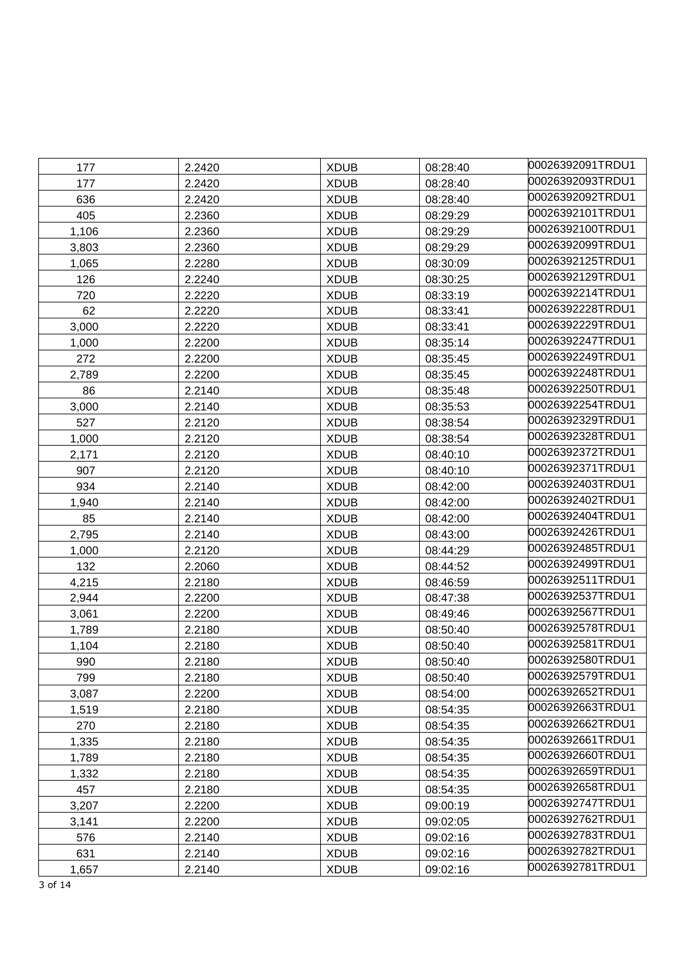| 177   | 2.2420 | <b>XDUB</b> | 08:28:40 | 00026392091TRDU1 |
|-------|--------|-------------|----------|------------------|
| 177   | 2.2420 | <b>XDUB</b> | 08:28:40 | 00026392093TRDU1 |
| 636   | 2.2420 | <b>XDUB</b> | 08:28:40 | 00026392092TRDU1 |
| 405   | 2.2360 | <b>XDUB</b> | 08:29:29 | 00026392101TRDU1 |
| 1,106 | 2.2360 | <b>XDUB</b> | 08:29:29 | 00026392100TRDU1 |
| 3,803 | 2.2360 | <b>XDUB</b> | 08:29:29 | 00026392099TRDU1 |
| 1,065 | 2.2280 | <b>XDUB</b> | 08:30:09 | 00026392125TRDU1 |
| 126   | 2.2240 | <b>XDUB</b> | 08:30:25 | 00026392129TRDU1 |
| 720   | 2.2220 | <b>XDUB</b> | 08:33:19 | 00026392214TRDU1 |
| 62    | 2.2220 | <b>XDUB</b> | 08:33:41 | 00026392228TRDU1 |
| 3,000 | 2.2220 | <b>XDUB</b> | 08:33:41 | 00026392229TRDU1 |
| 1,000 | 2.2200 | <b>XDUB</b> | 08:35:14 | 00026392247TRDU1 |
| 272   | 2.2200 | <b>XDUB</b> | 08:35:45 | 00026392249TRDU1 |
| 2,789 | 2.2200 | <b>XDUB</b> | 08:35:45 | 00026392248TRDU1 |
| 86    | 2.2140 | <b>XDUB</b> | 08:35:48 | 00026392250TRDU1 |
| 3,000 | 2.2140 | <b>XDUB</b> | 08:35:53 | 00026392254TRDU1 |
| 527   | 2.2120 | <b>XDUB</b> | 08:38:54 | 00026392329TRDU1 |
| 1,000 | 2.2120 | <b>XDUB</b> | 08:38:54 | 00026392328TRDU1 |
| 2,171 | 2.2120 | <b>XDUB</b> | 08:40:10 | 00026392372TRDU1 |
| 907   | 2.2120 | <b>XDUB</b> | 08:40:10 | 00026392371TRDU1 |
| 934   | 2.2140 | <b>XDUB</b> | 08:42:00 | 00026392403TRDU1 |
| 1,940 | 2.2140 | <b>XDUB</b> | 08:42:00 | 00026392402TRDU1 |
| 85    | 2.2140 | <b>XDUB</b> | 08:42:00 | 00026392404TRDU1 |
| 2,795 | 2.2140 | <b>XDUB</b> | 08:43:00 | 00026392426TRDU1 |
| 1,000 | 2.2120 | <b>XDUB</b> | 08:44:29 | 00026392485TRDU1 |
| 132   | 2.2060 | <b>XDUB</b> | 08:44:52 | 00026392499TRDU1 |
| 4,215 | 2.2180 | <b>XDUB</b> | 08:46:59 | 00026392511TRDU1 |
| 2,944 | 2.2200 | <b>XDUB</b> | 08:47:38 | 00026392537TRDU1 |
| 3,061 | 2.2200 | <b>XDUB</b> | 08:49:46 | 00026392567TRDU1 |
| 1,789 | 2.2180 | <b>XDUB</b> | 08:50:40 | 00026392578TRDU1 |
| 1,104 | 2.2180 | <b>XDUB</b> | 08:50:40 | 00026392581TRDU1 |
| 990   | 2.2180 | <b>XDUB</b> | 08:50:40 | 00026392580TRDU1 |
| 799   | 2.2180 | <b>XDUB</b> | 08:50:40 | 00026392579TRDU1 |
| 3,087 | 2.2200 | <b>XDUB</b> | 08:54:00 | 00026392652TRDU1 |
| 1,519 | 2.2180 | <b>XDUB</b> | 08:54:35 | 00026392663TRDU1 |
| 270   | 2.2180 | <b>XDUB</b> | 08:54:35 | 00026392662TRDU1 |
| 1,335 | 2.2180 | <b>XDUB</b> | 08:54:35 | 00026392661TRDU1 |
| 1,789 | 2.2180 | <b>XDUB</b> | 08:54:35 | 00026392660TRDU1 |
| 1,332 | 2.2180 | <b>XDUB</b> | 08:54:35 | 00026392659TRDU1 |
| 457   | 2.2180 | <b>XDUB</b> | 08:54:35 | 00026392658TRDU1 |
| 3,207 | 2.2200 | <b>XDUB</b> | 09:00:19 | 00026392747TRDU1 |
| 3,141 | 2.2200 | <b>XDUB</b> | 09:02:05 | 00026392762TRDU1 |
| 576   | 2.2140 | <b>XDUB</b> | 09:02:16 | 00026392783TRDU1 |
| 631   | 2.2140 | <b>XDUB</b> | 09:02:16 | 00026392782TRDU1 |
| 1,657 | 2.2140 | <b>XDUB</b> | 09:02:16 | 00026392781TRDU1 |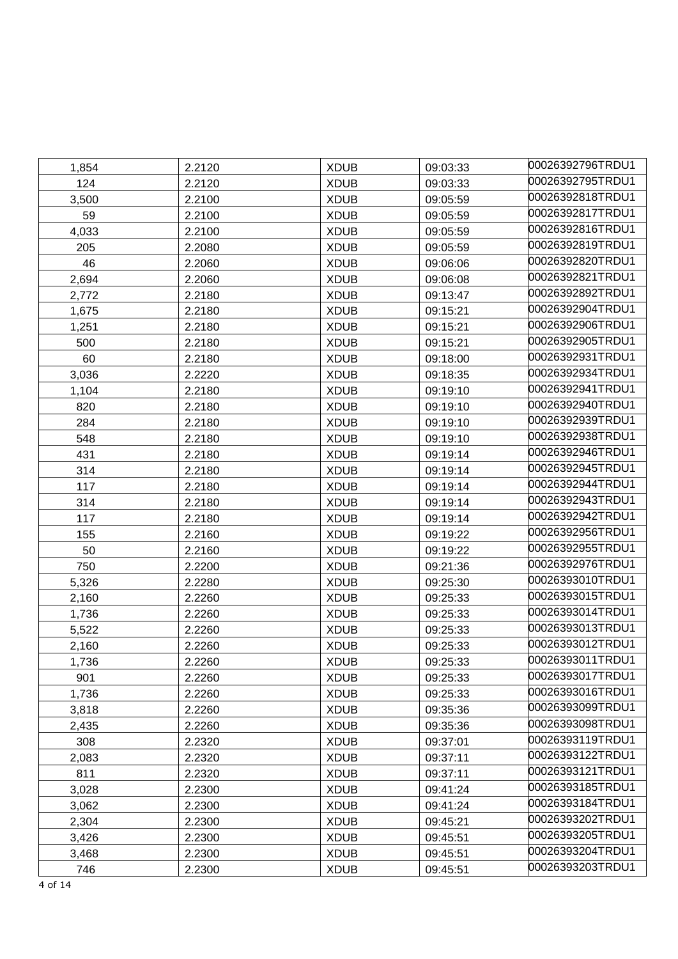| 1,854 | 2.2120 | <b>XDUB</b> | 09:03:33 | 00026392796TRDU1 |
|-------|--------|-------------|----------|------------------|
| 124   | 2.2120 | <b>XDUB</b> | 09:03:33 | 00026392795TRDU1 |
| 3,500 | 2.2100 | <b>XDUB</b> | 09:05:59 | 00026392818TRDU1 |
| 59    | 2.2100 | <b>XDUB</b> | 09:05:59 | 00026392817TRDU1 |
| 4,033 | 2.2100 | <b>XDUB</b> | 09:05:59 | 00026392816TRDU1 |
| 205   | 2.2080 | <b>XDUB</b> | 09:05:59 | 00026392819TRDU1 |
| 46    | 2.2060 | <b>XDUB</b> | 09:06:06 | 00026392820TRDU1 |
| 2,694 | 2.2060 | <b>XDUB</b> | 09:06:08 | 00026392821TRDU1 |
| 2,772 | 2.2180 | <b>XDUB</b> | 09:13:47 | 00026392892TRDU1 |
| 1,675 | 2.2180 | <b>XDUB</b> | 09:15:21 | 00026392904TRDU1 |
| 1,251 | 2.2180 | <b>XDUB</b> | 09:15:21 | 00026392906TRDU1 |
| 500   | 2.2180 | <b>XDUB</b> | 09:15:21 | 00026392905TRDU1 |
| 60    | 2.2180 | <b>XDUB</b> | 09:18:00 | 00026392931TRDU1 |
| 3,036 | 2.2220 | <b>XDUB</b> | 09:18:35 | 00026392934TRDU1 |
| 1,104 | 2.2180 | <b>XDUB</b> | 09:19:10 | 00026392941TRDU1 |
| 820   | 2.2180 | <b>XDUB</b> | 09:19:10 | 00026392940TRDU1 |
| 284   | 2.2180 | <b>XDUB</b> | 09:19:10 | 00026392939TRDU1 |
| 548   | 2.2180 | <b>XDUB</b> | 09:19:10 | 00026392938TRDU1 |
| 431   | 2.2180 | <b>XDUB</b> | 09:19:14 | 00026392946TRDU1 |
| 314   | 2.2180 | <b>XDUB</b> | 09:19:14 | 00026392945TRDU1 |
| 117   | 2.2180 | <b>XDUB</b> | 09:19:14 | 00026392944TRDU1 |
| 314   | 2.2180 | <b>XDUB</b> | 09:19:14 | 00026392943TRDU1 |
| 117   | 2.2180 | <b>XDUB</b> | 09:19:14 | 00026392942TRDU1 |
| 155   | 2.2160 | <b>XDUB</b> | 09:19:22 | 00026392956TRDU1 |
| 50    | 2.2160 | <b>XDUB</b> | 09:19:22 | 00026392955TRDU1 |
| 750   | 2.2200 | <b>XDUB</b> | 09:21:36 | 00026392976TRDU1 |
| 5,326 | 2.2280 | <b>XDUB</b> | 09:25:30 | 00026393010TRDU1 |
| 2,160 | 2.2260 | <b>XDUB</b> | 09:25:33 | 00026393015TRDU1 |
| 1,736 | 2.2260 | <b>XDUB</b> | 09:25:33 | 00026393014TRDU1 |
| 5,522 | 2.2260 | <b>XDUB</b> | 09:25:33 | 00026393013TRDU1 |
| 2,160 | 2.2260 | <b>XDUB</b> | 09:25:33 | 00026393012TRDU1 |
| 1,736 | 2.2260 | <b>XDUB</b> | 09:25:33 | 00026393011TRDU1 |
| 901   | 2.2260 | <b>XDUB</b> | 09:25:33 | 00026393017TRDU1 |
| 1,736 | 2.2260 | <b>XDUB</b> | 09:25:33 | 00026393016TRDU1 |
| 3,818 | 2.2260 | <b>XDUB</b> | 09:35:36 | 00026393099TRDU1 |
| 2,435 | 2.2260 | <b>XDUB</b> | 09:35:36 | 00026393098TRDU1 |
| 308   | 2.2320 | <b>XDUB</b> | 09:37:01 | 00026393119TRDU1 |
| 2,083 | 2.2320 | <b>XDUB</b> | 09:37:11 | 00026393122TRDU1 |
| 811   | 2.2320 | <b>XDUB</b> | 09:37:11 | 00026393121TRDU1 |
| 3,028 | 2.2300 | <b>XDUB</b> | 09:41:24 | 00026393185TRDU1 |
| 3,062 | 2.2300 | <b>XDUB</b> | 09:41:24 | 00026393184TRDU1 |
| 2,304 | 2.2300 | <b>XDUB</b> | 09:45:21 | 00026393202TRDU1 |
| 3,426 | 2.2300 | <b>XDUB</b> | 09:45:51 | 00026393205TRDU1 |
| 3,468 | 2.2300 | <b>XDUB</b> | 09:45:51 | 00026393204TRDU1 |
| 746   | 2.2300 | <b>XDUB</b> | 09:45:51 | 00026393203TRDU1 |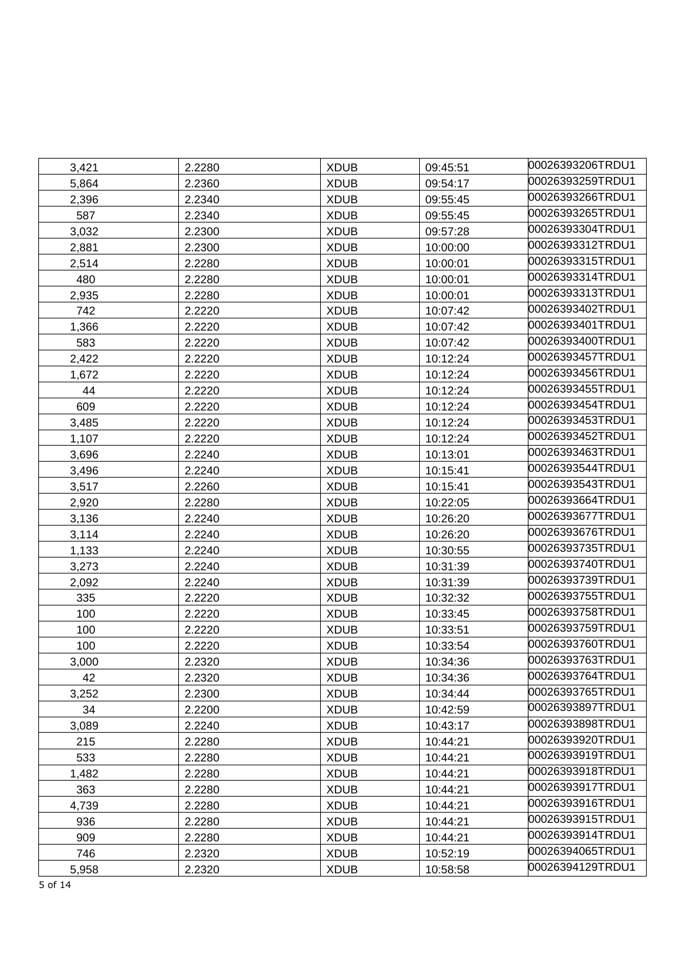| 3,421 | 2.2280 | <b>XDUB</b> | 09:45:51 | 00026393206TRDU1 |
|-------|--------|-------------|----------|------------------|
| 5,864 | 2.2360 | <b>XDUB</b> | 09:54:17 | 00026393259TRDU1 |
| 2,396 | 2.2340 | <b>XDUB</b> | 09:55:45 | 00026393266TRDU1 |
| 587   | 2.2340 | <b>XDUB</b> | 09:55:45 | 00026393265TRDU1 |
| 3,032 | 2.2300 | <b>XDUB</b> | 09:57:28 | 00026393304TRDU1 |
| 2,881 | 2.2300 | <b>XDUB</b> | 10:00:00 | 00026393312TRDU1 |
| 2,514 | 2.2280 | <b>XDUB</b> | 10:00:01 | 00026393315TRDU1 |
| 480   | 2.2280 | <b>XDUB</b> | 10:00:01 | 00026393314TRDU1 |
| 2,935 | 2.2280 | <b>XDUB</b> | 10:00:01 | 00026393313TRDU1 |
| 742   | 2.2220 | <b>XDUB</b> | 10:07:42 | 00026393402TRDU1 |
| 1,366 | 2.2220 | <b>XDUB</b> | 10:07:42 | 00026393401TRDU1 |
| 583   | 2.2220 | <b>XDUB</b> | 10:07:42 | 00026393400TRDU1 |
| 2,422 | 2.2220 | <b>XDUB</b> | 10:12:24 | 00026393457TRDU1 |
| 1,672 | 2.2220 | <b>XDUB</b> | 10:12:24 | 00026393456TRDU1 |
| 44    | 2.2220 | <b>XDUB</b> | 10:12:24 | 00026393455TRDU1 |
| 609   | 2.2220 | <b>XDUB</b> | 10:12:24 | 00026393454TRDU1 |
| 3,485 | 2.2220 | <b>XDUB</b> | 10:12:24 | 00026393453TRDU1 |
| 1,107 | 2.2220 | <b>XDUB</b> | 10:12:24 | 00026393452TRDU1 |
| 3,696 | 2.2240 | <b>XDUB</b> | 10:13:01 | 00026393463TRDU1 |
| 3,496 | 2.2240 | <b>XDUB</b> | 10:15:41 | 00026393544TRDU1 |
| 3,517 | 2.2260 | <b>XDUB</b> | 10:15:41 | 00026393543TRDU1 |
| 2,920 | 2.2280 | <b>XDUB</b> | 10:22:05 | 00026393664TRDU1 |
| 3,136 | 2.2240 | <b>XDUB</b> | 10:26:20 | 00026393677TRDU1 |
| 3,114 | 2.2240 | <b>XDUB</b> | 10:26:20 | 00026393676TRDU1 |
| 1,133 | 2.2240 | <b>XDUB</b> | 10:30:55 | 00026393735TRDU1 |
| 3,273 | 2.2240 | <b>XDUB</b> | 10:31:39 | 00026393740TRDU1 |
| 2,092 | 2.2240 | <b>XDUB</b> | 10:31:39 | 00026393739TRDU1 |
| 335   | 2.2220 | <b>XDUB</b> | 10:32:32 | 00026393755TRDU1 |
| 100   | 2.2220 | <b>XDUB</b> | 10:33:45 | 00026393758TRDU1 |
| 100   | 2.2220 | <b>XDUB</b> | 10:33:51 | 00026393759TRDU1 |
| 100   | 2.2220 | <b>XDUB</b> | 10:33:54 | 00026393760TRDU1 |
| 3,000 | 2.2320 | <b>XDUB</b> | 10:34:36 | 00026393763TRDU1 |
| 42    | 2.2320 | <b>XDUB</b> | 10:34:36 | 00026393764TRDU1 |
| 3,252 | 2.2300 | <b>XDUB</b> | 10:34:44 | 00026393765TRDU1 |
| 34    | 2.2200 | <b>XDUB</b> | 10:42:59 | 00026393897TRDU1 |
| 3,089 | 2.2240 | <b>XDUB</b> | 10:43:17 | 00026393898TRDU1 |
| 215   | 2.2280 | <b>XDUB</b> | 10:44:21 | 00026393920TRDU1 |
| 533   | 2.2280 | <b>XDUB</b> | 10:44:21 | 00026393919TRDU1 |
| 1,482 | 2.2280 | <b>XDUB</b> | 10:44:21 | 00026393918TRDU1 |
| 363   | 2.2280 | <b>XDUB</b> | 10:44:21 | 00026393917TRDU1 |
| 4,739 | 2.2280 | <b>XDUB</b> | 10:44:21 | 00026393916TRDU1 |
| 936   | 2.2280 | <b>XDUB</b> | 10:44:21 | 00026393915TRDU1 |
| 909   | 2.2280 | <b>XDUB</b> | 10:44:21 | 00026393914TRDU1 |
| 746   | 2.2320 | <b>XDUB</b> | 10:52:19 | 00026394065TRDU1 |
| 5,958 | 2.2320 | <b>XDUB</b> | 10:58:58 | 00026394129TRDU1 |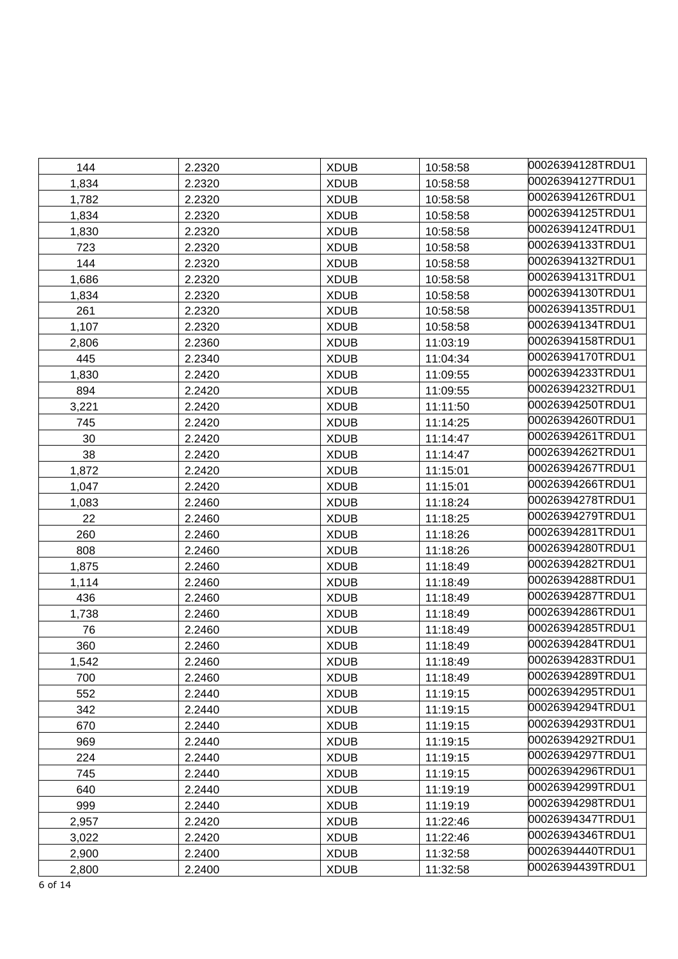| 144   | 2.2320 | <b>XDUB</b> | 10:58:58 | 00026394128TRDU1 |
|-------|--------|-------------|----------|------------------|
| 1,834 | 2.2320 | <b>XDUB</b> | 10:58:58 | 00026394127TRDU1 |
| 1,782 | 2.2320 | <b>XDUB</b> | 10:58:58 | 00026394126TRDU1 |
| 1,834 | 2.2320 | <b>XDUB</b> | 10:58:58 | 00026394125TRDU1 |
| 1,830 | 2.2320 | <b>XDUB</b> | 10:58:58 | 00026394124TRDU1 |
| 723   | 2.2320 | <b>XDUB</b> | 10:58:58 | 00026394133TRDU1 |
| 144   | 2.2320 | <b>XDUB</b> | 10:58:58 | 00026394132TRDU1 |
| 1,686 | 2.2320 | <b>XDUB</b> | 10:58:58 | 00026394131TRDU1 |
| 1,834 | 2.2320 | <b>XDUB</b> | 10:58:58 | 00026394130TRDU1 |
| 261   | 2.2320 | <b>XDUB</b> | 10:58:58 | 00026394135TRDU1 |
| 1,107 | 2.2320 | <b>XDUB</b> | 10:58:58 | 00026394134TRDU1 |
| 2,806 | 2.2360 | <b>XDUB</b> | 11:03:19 | 00026394158TRDU1 |
| 445   | 2.2340 | <b>XDUB</b> | 11:04:34 | 00026394170TRDU1 |
| 1,830 | 2.2420 | <b>XDUB</b> | 11:09:55 | 00026394233TRDU1 |
| 894   | 2.2420 | <b>XDUB</b> | 11:09:55 | 00026394232TRDU1 |
| 3,221 | 2.2420 | <b>XDUB</b> | 11:11:50 | 00026394250TRDU1 |
| 745   | 2.2420 | <b>XDUB</b> | 11:14:25 | 00026394260TRDU1 |
| 30    | 2.2420 | <b>XDUB</b> | 11:14:47 | 00026394261TRDU1 |
| 38    | 2.2420 | <b>XDUB</b> | 11:14:47 | 00026394262TRDU1 |
| 1,872 | 2.2420 | <b>XDUB</b> | 11:15:01 | 00026394267TRDU1 |
| 1,047 | 2.2420 | <b>XDUB</b> | 11:15:01 | 00026394266TRDU1 |
| 1,083 | 2.2460 | <b>XDUB</b> | 11:18:24 | 00026394278TRDU1 |
| 22    | 2.2460 | <b>XDUB</b> | 11:18:25 | 00026394279TRDU1 |
| 260   | 2.2460 | <b>XDUB</b> | 11:18:26 | 00026394281TRDU1 |
| 808   | 2.2460 | <b>XDUB</b> | 11:18:26 | 00026394280TRDU1 |
| 1,875 | 2.2460 | <b>XDUB</b> | 11:18:49 | 00026394282TRDU1 |
| 1,114 | 2.2460 | <b>XDUB</b> | 11:18:49 | 00026394288TRDU1 |
| 436   | 2.2460 | <b>XDUB</b> | 11:18:49 | 00026394287TRDU1 |
| 1,738 | 2.2460 | <b>XDUB</b> | 11:18:49 | 00026394286TRDU1 |
| 76    | 2.2460 | <b>XDUB</b> | 11:18:49 | 00026394285TRDU1 |
| 360   | 2.2460 | <b>XDUB</b> | 11:18:49 | 00026394284TRDU1 |
| 1,542 | 2.2460 | <b>XDUB</b> | 11:18:49 | 00026394283TRDU1 |
| 700   | 2.2460 | <b>XDUB</b> | 11:18:49 | 00026394289TRDU1 |
| 552   | 2.2440 | <b>XDUB</b> | 11:19:15 | 00026394295TRDU1 |
| 342   | 2.2440 | <b>XDUB</b> | 11:19:15 | 00026394294TRDU1 |
| 670   | 2.2440 | <b>XDUB</b> | 11:19:15 | 00026394293TRDU1 |
| 969   | 2.2440 | <b>XDUB</b> | 11:19:15 | 00026394292TRDU1 |
| 224   | 2.2440 | <b>XDUB</b> | 11:19:15 | 00026394297TRDU1 |
| 745   | 2.2440 | <b>XDUB</b> | 11:19:15 | 00026394296TRDU1 |
| 640   | 2.2440 | <b>XDUB</b> | 11:19:19 | 00026394299TRDU1 |
| 999   | 2.2440 | <b>XDUB</b> | 11:19:19 | 00026394298TRDU1 |
| 2,957 | 2.2420 | <b>XDUB</b> | 11:22:46 | 00026394347TRDU1 |
| 3,022 | 2.2420 | <b>XDUB</b> | 11:22:46 | 00026394346TRDU1 |
| 2,900 | 2.2400 | <b>XDUB</b> | 11:32:58 | 00026394440TRDU1 |
| 2,800 | 2.2400 | <b>XDUB</b> | 11:32:58 | 00026394439TRDU1 |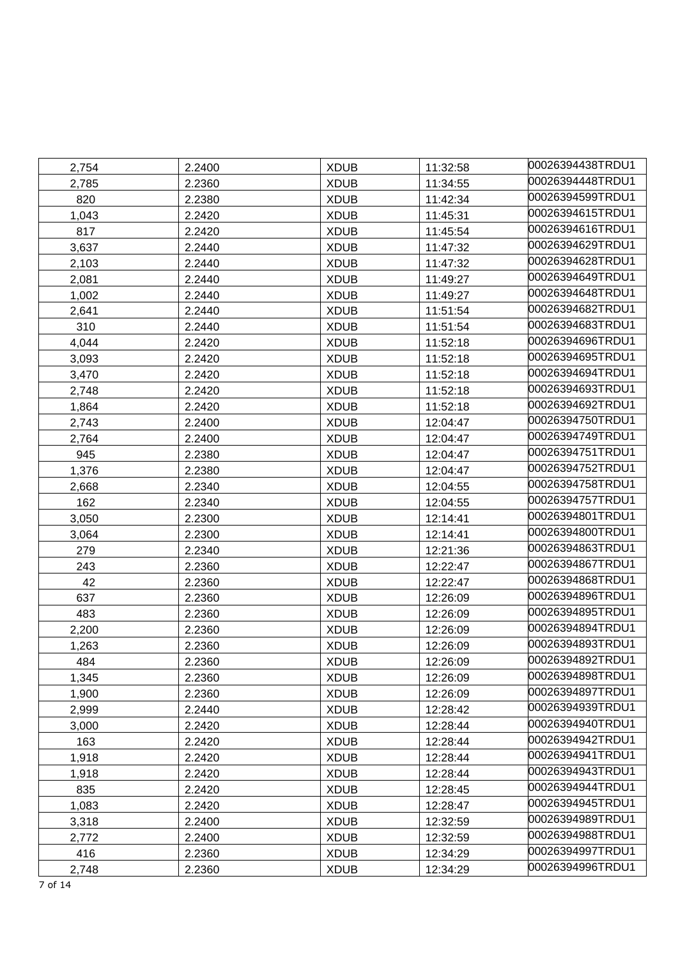| 2,754 | 2.2400 | <b>XDUB</b> | 11:32:58 | 00026394438TRDU1  |
|-------|--------|-------------|----------|-------------------|
| 2,785 | 2.2360 | <b>XDUB</b> | 11:34:55 | 00026394448TRDU1  |
| 820   | 2.2380 | <b>XDUB</b> | 11:42:34 | 00026394599TRDU1  |
| 1,043 | 2.2420 | <b>XDUB</b> | 11:45:31 | 00026394615TRDU1  |
| 817   | 2.2420 | <b>XDUB</b> | 11:45:54 | 00026394616TRDU1  |
| 3,637 | 2.2440 | <b>XDUB</b> | 11:47:32 | 00026394629TRDU1  |
| 2,103 | 2.2440 | <b>XDUB</b> | 11:47:32 | 00026394628TRDU1  |
| 2,081 | 2.2440 | <b>XDUB</b> | 11:49:27 | 00026394649TRDU1  |
| 1,002 | 2.2440 | <b>XDUB</b> | 11:49:27 | 00026394648TRDU1  |
| 2,641 | 2.2440 | <b>XDUB</b> | 11:51:54 | 00026394682TRDU1  |
| 310   | 2.2440 | <b>XDUB</b> | 11:51:54 | 00026394683TRDU1  |
| 4,044 | 2.2420 | <b>XDUB</b> | 11:52:18 | l00026394696TRDU1 |
| 3,093 | 2.2420 | <b>XDUB</b> | 11:52:18 | 00026394695TRDU1  |
| 3,470 | 2.2420 | <b>XDUB</b> | 11:52:18 | 00026394694TRDU1  |
| 2,748 | 2.2420 | <b>XDUB</b> | 11:52:18 | 00026394693TRDU1  |
| 1,864 | 2.2420 | <b>XDUB</b> | 11:52:18 | 00026394692TRDU1  |
| 2,743 | 2.2400 | <b>XDUB</b> | 12:04:47 | 00026394750TRDU1  |
| 2,764 | 2.2400 | <b>XDUB</b> | 12:04:47 | 00026394749TRDU1  |
| 945   | 2.2380 | <b>XDUB</b> | 12:04:47 | 00026394751TRDU1  |
| 1,376 | 2.2380 | <b>XDUB</b> | 12:04:47 | 00026394752TRDU1  |
| 2,668 | 2.2340 | <b>XDUB</b> | 12:04:55 | 00026394758TRDU1  |
| 162   | 2.2340 | <b>XDUB</b> | 12:04:55 | 00026394757TRDU1  |
| 3,050 | 2.2300 | <b>XDUB</b> | 12:14:41 | 00026394801TRDU1  |
| 3,064 | 2.2300 | <b>XDUB</b> | 12:14:41 | 00026394800TRDU1  |
| 279   | 2.2340 | <b>XDUB</b> | 12:21:36 | 00026394863TRDU1  |
| 243   | 2.2360 | <b>XDUB</b> | 12:22:47 | 00026394867TRDU1  |
| 42    | 2.2360 | <b>XDUB</b> | 12:22:47 | 00026394868TRDU1  |
| 637   | 2.2360 | <b>XDUB</b> | 12:26:09 | 00026394896TRDU1  |
| 483   | 2.2360 | <b>XDUB</b> | 12:26:09 | 00026394895TRDU1  |
| 2,200 | 2.2360 | <b>XDUB</b> | 12:26:09 | 00026394894TRDU1  |
| 1,263 | 2.2360 | <b>XDUB</b> | 12:26:09 | 00026394893TRDU1  |
| 484   | 2.2360 | <b>XDUB</b> | 12:26:09 | 00026394892TRDU1  |
| 1,345 | 2.2360 | <b>XDUB</b> | 12:26:09 | 00026394898TRDU1  |
| 1,900 | 2.2360 | <b>XDUB</b> | 12:26:09 | 00026394897TRDU1  |
| 2,999 | 2.2440 | <b>XDUB</b> | 12:28:42 | 00026394939TRDU1  |
| 3,000 | 2.2420 | <b>XDUB</b> | 12:28:44 | 00026394940TRDU1  |
| 163   | 2.2420 | <b>XDUB</b> | 12:28:44 | 00026394942TRDU1  |
| 1,918 | 2.2420 | <b>XDUB</b> | 12:28:44 | 00026394941TRDU1  |
| 1,918 | 2.2420 | <b>XDUB</b> | 12:28:44 | 00026394943TRDU1  |
| 835   | 2.2420 | <b>XDUB</b> | 12:28:45 | 00026394944TRDU1  |
| 1,083 | 2.2420 | <b>XDUB</b> | 12:28:47 | 00026394945TRDU1  |
| 3,318 | 2.2400 | <b>XDUB</b> | 12:32:59 | 00026394989TRDU1  |
| 2,772 | 2.2400 | <b>XDUB</b> | 12:32:59 | 00026394988TRDU1  |
| 416   | 2.2360 | <b>XDUB</b> | 12:34:29 | 00026394997TRDU1  |
| 2,748 | 2.2360 | <b>XDUB</b> | 12:34:29 | 00026394996TRDU1  |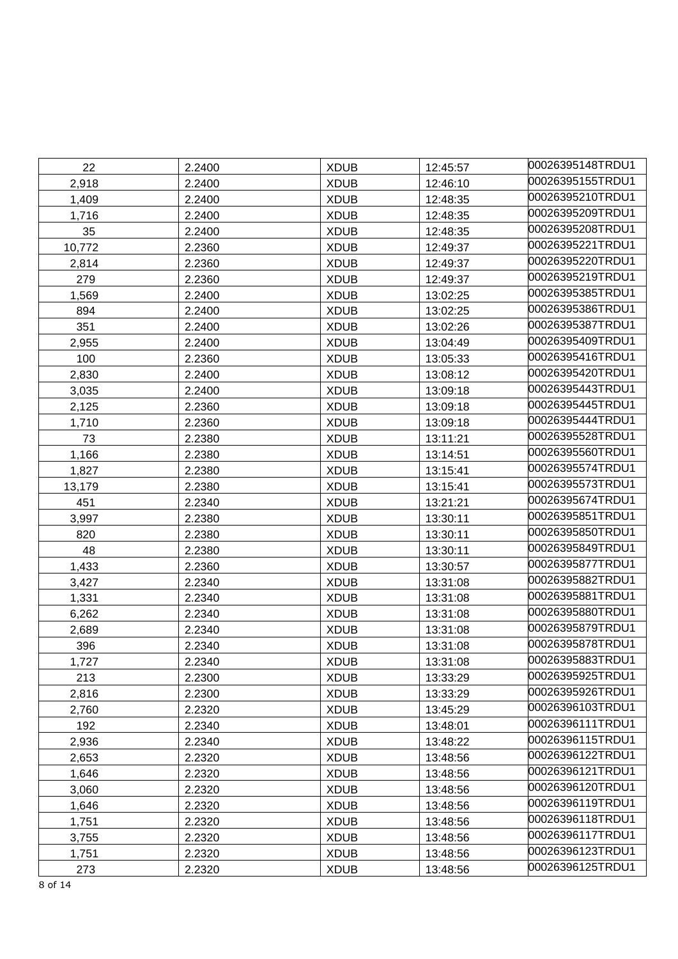| 22     | 2.2400 | <b>XDUB</b> | 12:45:57 | 00026395148TRDU1 |
|--------|--------|-------------|----------|------------------|
| 2,918  | 2.2400 | <b>XDUB</b> | 12:46:10 | 00026395155TRDU1 |
| 1,409  | 2.2400 | <b>XDUB</b> | 12:48:35 | 00026395210TRDU1 |
| 1,716  | 2.2400 | <b>XDUB</b> | 12:48:35 | 00026395209TRDU1 |
| 35     | 2.2400 | <b>XDUB</b> | 12:48:35 | 00026395208TRDU1 |
| 10,772 | 2.2360 | <b>XDUB</b> | 12:49:37 | 00026395221TRDU1 |
| 2,814  | 2.2360 | <b>XDUB</b> | 12:49:37 | 00026395220TRDU1 |
| 279    | 2.2360 | <b>XDUB</b> | 12:49:37 | 00026395219TRDU1 |
| 1,569  | 2.2400 | <b>XDUB</b> | 13:02:25 | 00026395385TRDU1 |
| 894    | 2.2400 | <b>XDUB</b> | 13:02:25 | 00026395386TRDU1 |
| 351    | 2.2400 | <b>XDUB</b> | 13:02:26 | 00026395387TRDU1 |
| 2,955  | 2.2400 | <b>XDUB</b> | 13:04:49 | 00026395409TRDU1 |
| 100    | 2.2360 | <b>XDUB</b> | 13:05:33 | 00026395416TRDU1 |
| 2,830  | 2.2400 | <b>XDUB</b> | 13:08:12 | 00026395420TRDU1 |
| 3,035  | 2.2400 | <b>XDUB</b> | 13:09:18 | 00026395443TRDU1 |
| 2,125  | 2.2360 | <b>XDUB</b> | 13:09:18 | 00026395445TRDU1 |
| 1,710  | 2.2360 | <b>XDUB</b> | 13:09:18 | 00026395444TRDU1 |
| 73     | 2.2380 | <b>XDUB</b> | 13:11:21 | 00026395528TRDU1 |
| 1,166  | 2.2380 | <b>XDUB</b> | 13:14:51 | 00026395560TRDU1 |
| 1,827  | 2.2380 | <b>XDUB</b> | 13:15:41 | 00026395574TRDU1 |
| 13,179 | 2.2380 | <b>XDUB</b> | 13:15:41 | 00026395573TRDU1 |
| 451    | 2.2340 | <b>XDUB</b> | 13:21:21 | 00026395674TRDU1 |
| 3,997  | 2.2380 | <b>XDUB</b> | 13:30:11 | 00026395851TRDU1 |
| 820    | 2.2380 | <b>XDUB</b> | 13:30:11 | 00026395850TRDU1 |
| 48     | 2.2380 | <b>XDUB</b> | 13:30:11 | 00026395849TRDU1 |
| 1,433  | 2.2360 | <b>XDUB</b> | 13:30:57 | 00026395877TRDU1 |
| 3,427  | 2.2340 | <b>XDUB</b> | 13:31:08 | 00026395882TRDU1 |
| 1,331  | 2.2340 | <b>XDUB</b> | 13:31:08 | 00026395881TRDU1 |
| 6,262  | 2.2340 | <b>XDUB</b> | 13:31:08 | 00026395880TRDU1 |
| 2,689  | 2.2340 | <b>XDUB</b> | 13:31:08 | 00026395879TRDU1 |
| 396    | 2.2340 | <b>XDUB</b> | 13:31:08 | 00026395878TRDU1 |
| 1,727  | 2.2340 | <b>XDUB</b> | 13:31:08 | 00026395883TRDU1 |
| 213    | 2.2300 | <b>XDUB</b> | 13:33:29 | 00026395925TRDU1 |
| 2,816  | 2.2300 | <b>XDUB</b> | 13:33:29 | 00026395926TRDU1 |
| 2,760  | 2.2320 | <b>XDUB</b> | 13:45:29 | 00026396103TRDU1 |
| 192    | 2.2340 | <b>XDUB</b> | 13:48:01 | 00026396111TRDU1 |
| 2,936  | 2.2340 | <b>XDUB</b> | 13:48:22 | 00026396115TRDU1 |
| 2,653  | 2.2320 | <b>XDUB</b> | 13:48:56 | 00026396122TRDU1 |
| 1,646  | 2.2320 | <b>XDUB</b> | 13:48:56 | 00026396121TRDU1 |
| 3,060  | 2.2320 | <b>XDUB</b> | 13:48:56 | 00026396120TRDU1 |
| 1,646  | 2.2320 | <b>XDUB</b> | 13:48:56 | 00026396119TRDU1 |
| 1,751  | 2.2320 | <b>XDUB</b> | 13:48:56 | 00026396118TRDU1 |
| 3,755  | 2.2320 | <b>XDUB</b> | 13:48:56 | 00026396117TRDU1 |
| 1,751  | 2.2320 | <b>XDUB</b> | 13:48:56 | 00026396123TRDU1 |
| 273    | 2.2320 | <b>XDUB</b> | 13:48:56 | 00026396125TRDU1 |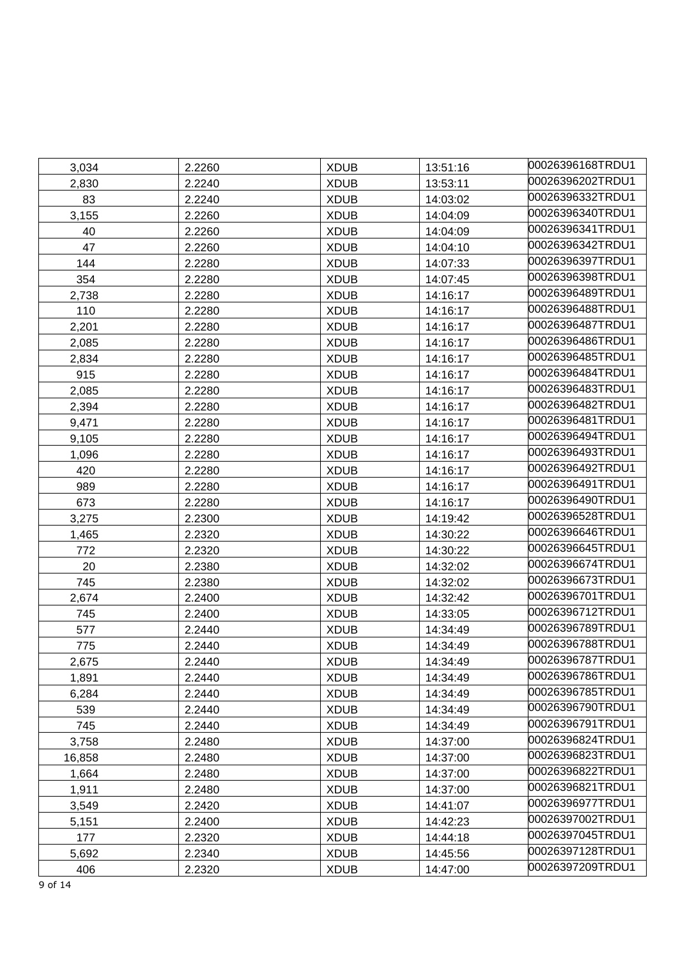| 3,034  | 2.2260 | <b>XDUB</b> | 13:51:16 | 00026396168TRDU1 |
|--------|--------|-------------|----------|------------------|
| 2,830  | 2.2240 | <b>XDUB</b> | 13:53:11 | 00026396202TRDU1 |
| 83     | 2.2240 | <b>XDUB</b> | 14:03:02 | 00026396332TRDU1 |
| 3,155  | 2.2260 | <b>XDUB</b> | 14:04:09 | 00026396340TRDU1 |
| 40     | 2.2260 | <b>XDUB</b> | 14:04:09 | 00026396341TRDU1 |
| 47     | 2.2260 | <b>XDUB</b> | 14:04:10 | 00026396342TRDU1 |
| 144    | 2.2280 | <b>XDUB</b> | 14:07:33 | 00026396397TRDU1 |
| 354    | 2.2280 | <b>XDUB</b> | 14:07:45 | 00026396398TRDU1 |
| 2,738  | 2.2280 | <b>XDUB</b> | 14:16:17 | 00026396489TRDU1 |
| 110    | 2.2280 | <b>XDUB</b> | 14:16:17 | 00026396488TRDU1 |
| 2,201  | 2.2280 | <b>XDUB</b> | 14:16:17 | 00026396487TRDU1 |
| 2,085  | 2.2280 | <b>XDUB</b> | 14:16:17 | 00026396486TRDU1 |
| 2,834  | 2.2280 | <b>XDUB</b> | 14:16:17 | 00026396485TRDU1 |
| 915    | 2.2280 | <b>XDUB</b> | 14:16:17 | 00026396484TRDU1 |
| 2,085  | 2.2280 | <b>XDUB</b> | 14:16:17 | 00026396483TRDU1 |
| 2,394  | 2.2280 | <b>XDUB</b> | 14:16:17 | 00026396482TRDU1 |
| 9,471  | 2.2280 | <b>XDUB</b> | 14:16:17 | 00026396481TRDU1 |
| 9,105  | 2.2280 | <b>XDUB</b> | 14:16:17 | 00026396494TRDU1 |
| 1,096  | 2.2280 | <b>XDUB</b> | 14:16:17 | 00026396493TRDU1 |
| 420    | 2.2280 | <b>XDUB</b> | 14:16:17 | 00026396492TRDU1 |
| 989    | 2.2280 | <b>XDUB</b> | 14:16:17 | 00026396491TRDU1 |
| 673    | 2.2280 | <b>XDUB</b> | 14:16:17 | 00026396490TRDU1 |
| 3,275  | 2.2300 | <b>XDUB</b> | 14:19:42 | 00026396528TRDU1 |
| 1,465  | 2.2320 | <b>XDUB</b> | 14:30:22 | 00026396646TRDU1 |
| 772    | 2.2320 | <b>XDUB</b> | 14:30:22 | 00026396645TRDU1 |
| 20     | 2.2380 | <b>XDUB</b> | 14:32:02 | 00026396674TRDU1 |
| 745    | 2.2380 | <b>XDUB</b> | 14:32:02 | 00026396673TRDU1 |
| 2,674  | 2.2400 | <b>XDUB</b> | 14:32:42 | 00026396701TRDU1 |
| 745    | 2.2400 | <b>XDUB</b> | 14:33:05 | 00026396712TRDU1 |
| 577    | 2.2440 | <b>XDUB</b> | 14:34:49 | 00026396789TRDU1 |
| 775    | 2.2440 | <b>XDUB</b> | 14:34:49 | 00026396788TRDU1 |
| 2,675  | 2.2440 | <b>XDUB</b> | 14:34:49 | 00026396787TRDU1 |
| 1,891  | 2.2440 | <b>XDUB</b> | 14:34:49 | 00026396786TRDU1 |
| 6,284  | 2.2440 | <b>XDUB</b> | 14:34:49 | 00026396785TRDU1 |
| 539    | 2.2440 | <b>XDUB</b> | 14:34:49 | 00026396790TRDU1 |
| 745    | 2.2440 | <b>XDUB</b> | 14:34:49 | 00026396791TRDU1 |
| 3,758  | 2.2480 | <b>XDUB</b> | 14:37:00 | 00026396824TRDU1 |
| 16,858 | 2.2480 | <b>XDUB</b> | 14:37:00 | 00026396823TRDU1 |
| 1,664  | 2.2480 | <b>XDUB</b> | 14:37:00 | 00026396822TRDU1 |
| 1,911  | 2.2480 | <b>XDUB</b> | 14:37:00 | 00026396821TRDU1 |
| 3,549  | 2.2420 | <b>XDUB</b> | 14:41:07 | 00026396977TRDU1 |
| 5,151  | 2.2400 | <b>XDUB</b> | 14:42:23 | 00026397002TRDU1 |
| 177    | 2.2320 | <b>XDUB</b> | 14:44:18 | 00026397045TRDU1 |
| 5,692  | 2.2340 | <b>XDUB</b> | 14:45:56 | 00026397128TRDU1 |
| 406    | 2.2320 | <b>XDUB</b> | 14:47:00 | 00026397209TRDU1 |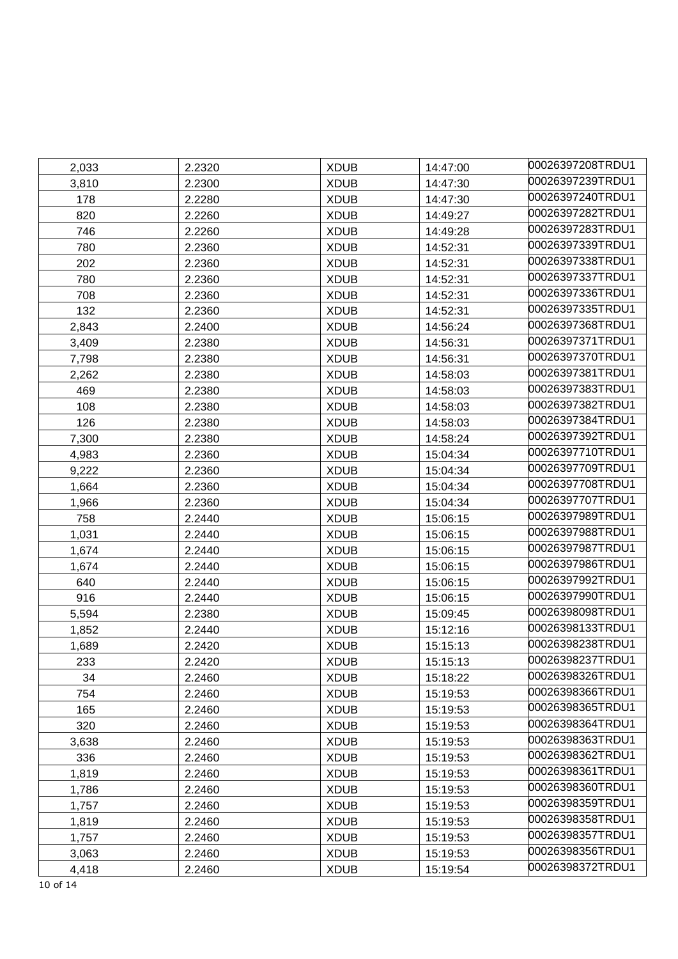| 2,033 | 2.2320 | <b>XDUB</b> | 14:47:00 | 00026397208TRDU1 |
|-------|--------|-------------|----------|------------------|
| 3,810 | 2.2300 | <b>XDUB</b> | 14:47:30 | 00026397239TRDU1 |
| 178   | 2.2280 | <b>XDUB</b> | 14:47:30 | 00026397240TRDU1 |
| 820   | 2.2260 | <b>XDUB</b> | 14:49:27 | 00026397282TRDU1 |
| 746   | 2.2260 | <b>XDUB</b> | 14:49:28 | 00026397283TRDU1 |
| 780   | 2.2360 | <b>XDUB</b> | 14:52:31 | 00026397339TRDU1 |
| 202   | 2.2360 | <b>XDUB</b> | 14:52:31 | 00026397338TRDU1 |
| 780   | 2.2360 | <b>XDUB</b> | 14:52:31 | 00026397337TRDU1 |
| 708   | 2.2360 | <b>XDUB</b> | 14:52:31 | 00026397336TRDU1 |
| 132   | 2.2360 | <b>XDUB</b> | 14:52:31 | 00026397335TRDU1 |
| 2,843 | 2.2400 | <b>XDUB</b> | 14:56:24 | 00026397368TRDU1 |
| 3,409 | 2.2380 | <b>XDUB</b> | 14:56:31 | 00026397371TRDU1 |
| 7,798 | 2.2380 | <b>XDUB</b> | 14:56:31 | 00026397370TRDU1 |
| 2,262 | 2.2380 | <b>XDUB</b> | 14:58:03 | 00026397381TRDU1 |
| 469   | 2.2380 | <b>XDUB</b> | 14:58:03 | 00026397383TRDU1 |
| 108   | 2.2380 | <b>XDUB</b> | 14:58:03 | 00026397382TRDU1 |
| 126   | 2.2380 | <b>XDUB</b> | 14:58:03 | 00026397384TRDU1 |
| 7,300 | 2.2380 | <b>XDUB</b> | 14:58:24 | 00026397392TRDU1 |
| 4,983 | 2.2360 | <b>XDUB</b> | 15:04:34 | 00026397710TRDU1 |
| 9,222 | 2.2360 | <b>XDUB</b> | 15:04:34 | 00026397709TRDU1 |
| 1,664 | 2.2360 | <b>XDUB</b> | 15:04:34 | 00026397708TRDU1 |
| 1,966 | 2.2360 | <b>XDUB</b> | 15:04:34 | 00026397707TRDU1 |
| 758   | 2.2440 | <b>XDUB</b> | 15:06:15 | 00026397989TRDU1 |
| 1,031 | 2.2440 | <b>XDUB</b> | 15:06:15 | 00026397988TRDU1 |
| 1,674 | 2.2440 | <b>XDUB</b> | 15:06:15 | 00026397987TRDU1 |
| 1,674 | 2.2440 | <b>XDUB</b> | 15:06:15 | 00026397986TRDU1 |
| 640   | 2.2440 | <b>XDUB</b> | 15:06:15 | 00026397992TRDU1 |
| 916   | 2.2440 | <b>XDUB</b> | 15:06:15 | 00026397990TRDU1 |
| 5,594 | 2.2380 | <b>XDUB</b> | 15:09:45 | 00026398098TRDU1 |
| 1,852 | 2.2440 | <b>XDUB</b> | 15:12:16 | 00026398133TRDU1 |
| 1,689 | 2.2420 | <b>XDUB</b> | 15:15:13 | 00026398238TRDU1 |
| 233   | 2.2420 | <b>XDUB</b> | 15:15:13 | 00026398237TRDU1 |
| 34    | 2.2460 | <b>XDUB</b> | 15:18:22 | 00026398326TRDU1 |
| 754   | 2.2460 | <b>XDUB</b> | 15:19:53 | 00026398366TRDU1 |
| 165   | 2.2460 | <b>XDUB</b> | 15:19:53 | 00026398365TRDU1 |
| 320   | 2.2460 | <b>XDUB</b> | 15:19:53 | 00026398364TRDU1 |
| 3,638 | 2.2460 | <b>XDUB</b> | 15:19:53 | 00026398363TRDU1 |
| 336   | 2.2460 | <b>XDUB</b> | 15:19:53 | 00026398362TRDU1 |
| 1,819 | 2.2460 | <b>XDUB</b> | 15:19:53 | 00026398361TRDU1 |
| 1,786 | 2.2460 | <b>XDUB</b> | 15:19:53 | 00026398360TRDU1 |
| 1,757 | 2.2460 | <b>XDUB</b> | 15:19:53 | 00026398359TRDU1 |
| 1,819 | 2.2460 | <b>XDUB</b> | 15:19:53 | 00026398358TRDU1 |
| 1,757 | 2.2460 | <b>XDUB</b> | 15:19:53 | 00026398357TRDU1 |
| 3,063 | 2.2460 | <b>XDUB</b> | 15:19:53 | 00026398356TRDU1 |
| 4,418 | 2.2460 | <b>XDUB</b> | 15:19:54 | 00026398372TRDU1 |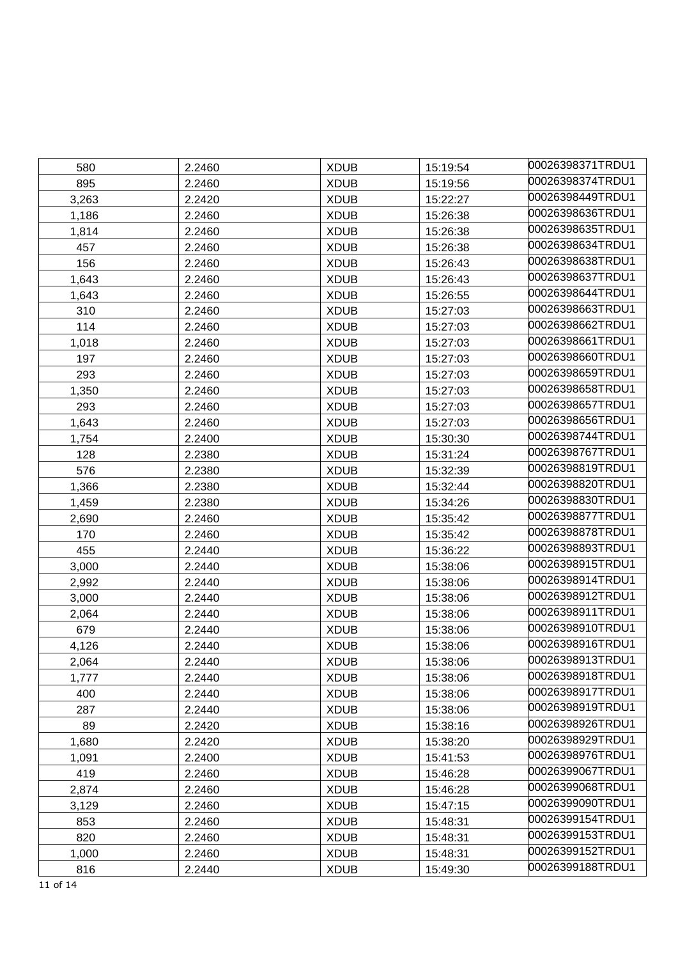| 580   | 2.2460 | <b>XDUB</b> | 15:19:54 | 00026398371TRDU1  |
|-------|--------|-------------|----------|-------------------|
| 895   | 2.2460 | <b>XDUB</b> | 15:19:56 | 00026398374TRDU1  |
| 3,263 | 2.2420 | <b>XDUB</b> | 15:22:27 | 00026398449TRDU1  |
| 1,186 | 2.2460 | <b>XDUB</b> | 15:26:38 | 00026398636TRDU1  |
| 1,814 | 2.2460 | <b>XDUB</b> | 15:26:38 | 00026398635TRDU1  |
| 457   | 2.2460 | <b>XDUB</b> | 15:26:38 | 00026398634TRDU1  |
| 156   | 2.2460 | <b>XDUB</b> | 15:26:43 | 00026398638TRDU1  |
| 1,643 | 2.2460 | <b>XDUB</b> | 15:26:43 | 00026398637TRDU1  |
| 1,643 | 2.2460 | <b>XDUB</b> | 15:26:55 | 00026398644TRDU1  |
| 310   | 2.2460 | <b>XDUB</b> | 15:27:03 | 00026398663TRDU1  |
| 114   | 2.2460 | <b>XDUB</b> | 15:27:03 | 00026398662TRDU1  |
| 1,018 | 2.2460 | <b>XDUB</b> | 15:27:03 | l00026398661TRDU1 |
| 197   | 2.2460 | <b>XDUB</b> | 15:27:03 | 00026398660TRDU1  |
| 293   | 2.2460 | <b>XDUB</b> | 15:27:03 | 00026398659TRDU1  |
| 1,350 | 2.2460 | <b>XDUB</b> | 15:27:03 | 00026398658TRDU1  |
| 293   | 2.2460 | <b>XDUB</b> | 15:27:03 | 00026398657TRDU1  |
| 1,643 | 2.2460 | <b>XDUB</b> | 15:27:03 | 00026398656TRDU1  |
| 1,754 | 2.2400 | <b>XDUB</b> | 15:30:30 | 00026398744TRDU1  |
| 128   | 2.2380 | <b>XDUB</b> | 15:31:24 | 00026398767TRDU1  |
| 576   | 2.2380 | <b>XDUB</b> | 15:32:39 | 00026398819TRDU1  |
| 1,366 | 2.2380 | <b>XDUB</b> | 15:32:44 | 00026398820TRDU1  |
| 1,459 | 2.2380 | <b>XDUB</b> | 15:34:26 | 00026398830TRDU1  |
| 2,690 | 2.2460 | <b>XDUB</b> | 15:35:42 | 00026398877TRDU1  |
| 170   | 2.2460 | <b>XDUB</b> | 15:35:42 | 00026398878TRDU1  |
| 455   | 2.2440 | <b>XDUB</b> | 15:36:22 | 00026398893TRDU1  |
| 3,000 | 2.2440 | <b>XDUB</b> | 15:38:06 | 00026398915TRDU1  |
| 2,992 | 2.2440 | <b>XDUB</b> | 15:38:06 | 00026398914TRDU1  |
| 3,000 | 2.2440 | <b>XDUB</b> | 15:38:06 | 00026398912TRDU1  |
| 2,064 | 2.2440 | <b>XDUB</b> | 15:38:06 | 00026398911TRDU1  |
| 679   | 2.2440 | <b>XDUB</b> | 15:38:06 | 00026398910TRDU1  |
| 4,126 | 2.2440 | <b>XDUB</b> | 15:38:06 | 00026398916TRDU1  |
| 2,064 | 2.2440 | <b>XDUB</b> | 15:38:06 | 00026398913TRDU1  |
| 1,777 | 2.2440 | <b>XDUB</b> | 15:38:06 | 00026398918TRDU1  |
| 400   | 2.2440 | <b>XDUB</b> | 15:38:06 | 00026398917TRDU1  |
| 287   | 2.2440 | <b>XDUB</b> | 15:38:06 | 00026398919TRDU1  |
| 89    | 2.2420 | <b>XDUB</b> | 15:38:16 | 00026398926TRDU1  |
| 1,680 | 2.2420 | <b>XDUB</b> | 15:38:20 | 00026398929TRDU1  |
| 1,091 | 2.2400 | <b>XDUB</b> | 15:41:53 | 00026398976TRDU1  |
| 419   | 2.2460 | <b>XDUB</b> | 15:46:28 | 00026399067TRDU1  |
| 2,874 | 2.2460 | <b>XDUB</b> | 15:46:28 | 00026399068TRDU1  |
| 3,129 | 2.2460 | <b>XDUB</b> | 15:47:15 | 00026399090TRDU1  |
| 853   | 2.2460 | <b>XDUB</b> | 15:48:31 | 00026399154TRDU1  |
| 820   | 2.2460 | <b>XDUB</b> | 15:48:31 | 00026399153TRDU1  |
| 1,000 | 2.2460 | <b>XDUB</b> | 15:48:31 | 00026399152TRDU1  |
| 816   | 2.2440 | <b>XDUB</b> | 15:49:30 | 00026399188TRDU1  |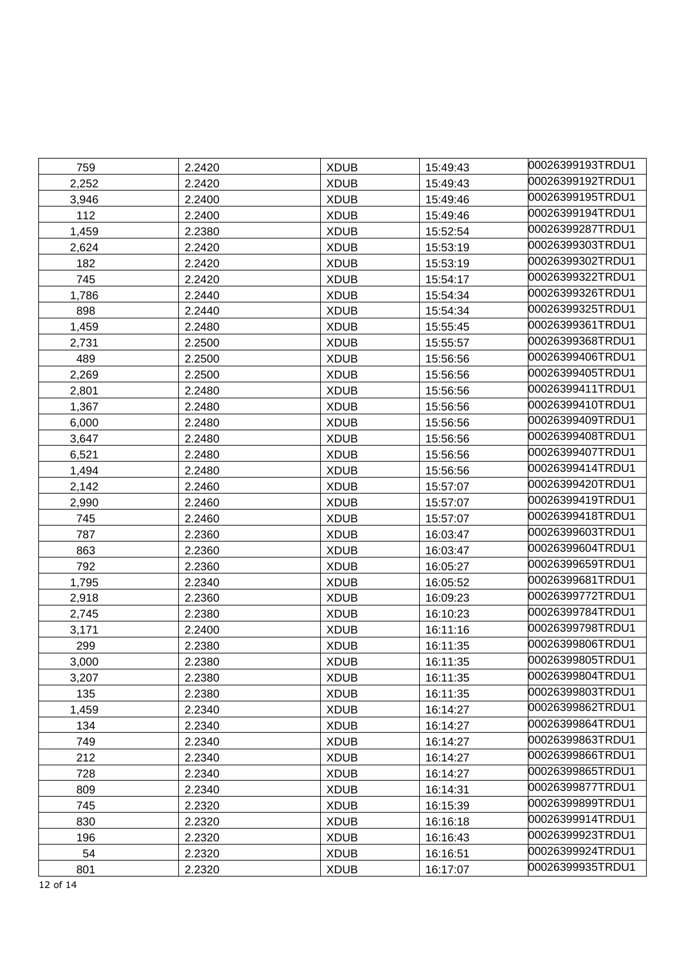| 759   | 2.2420 | <b>XDUB</b> | 15:49:43 | 00026399193TRDU1 |
|-------|--------|-------------|----------|------------------|
| 2,252 | 2.2420 | <b>XDUB</b> | 15:49:43 | 00026399192TRDU1 |
| 3,946 | 2.2400 | <b>XDUB</b> | 15:49:46 | 00026399195TRDU1 |
| 112   | 2.2400 | <b>XDUB</b> | 15:49:46 | 00026399194TRDU1 |
| 1,459 | 2.2380 | <b>XDUB</b> | 15:52:54 | 00026399287TRDU1 |
| 2,624 | 2.2420 | <b>XDUB</b> | 15:53:19 | 00026399303TRDU1 |
| 182   | 2.2420 | <b>XDUB</b> | 15:53:19 | 00026399302TRDU1 |
| 745   | 2.2420 | <b>XDUB</b> | 15:54:17 | 00026399322TRDU1 |
| 1,786 | 2.2440 | <b>XDUB</b> | 15:54:34 | 00026399326TRDU1 |
| 898   | 2.2440 | <b>XDUB</b> | 15:54:34 | 00026399325TRDU1 |
| 1,459 | 2.2480 | <b>XDUB</b> | 15:55:45 | 00026399361TRDU1 |
| 2,731 | 2.2500 | <b>XDUB</b> | 15:55:57 | 00026399368TRDU1 |
| 489   | 2.2500 | <b>XDUB</b> | 15:56:56 | 00026399406TRDU1 |
| 2,269 | 2.2500 | <b>XDUB</b> | 15:56:56 | 00026399405TRDU1 |
| 2,801 | 2.2480 | <b>XDUB</b> | 15:56:56 | 00026399411TRDU1 |
| 1,367 | 2.2480 | <b>XDUB</b> | 15:56:56 | 00026399410TRDU1 |
| 6,000 | 2.2480 | <b>XDUB</b> | 15:56:56 | 00026399409TRDU1 |
| 3,647 | 2.2480 | <b>XDUB</b> | 15:56:56 | 00026399408TRDU1 |
| 6,521 | 2.2480 | <b>XDUB</b> | 15:56:56 | 00026399407TRDU1 |
| 1,494 | 2.2480 | <b>XDUB</b> | 15:56:56 | 00026399414TRDU1 |
| 2,142 | 2.2460 | <b>XDUB</b> | 15:57:07 | 00026399420TRDU1 |
| 2,990 | 2.2460 | <b>XDUB</b> | 15:57:07 | 00026399419TRDU1 |
| 745   | 2.2460 | <b>XDUB</b> | 15:57:07 | 00026399418TRDU1 |
| 787   | 2.2360 | <b>XDUB</b> | 16:03:47 | 00026399603TRDU1 |
| 863   | 2.2360 | <b>XDUB</b> | 16:03:47 | 00026399604TRDU1 |
| 792   | 2.2360 | <b>XDUB</b> | 16:05:27 | 00026399659TRDU1 |
| 1,795 | 2.2340 | <b>XDUB</b> | 16:05:52 | 00026399681TRDU1 |
| 2,918 | 2.2360 | <b>XDUB</b> | 16:09:23 | 00026399772TRDU1 |
| 2,745 | 2.2380 | <b>XDUB</b> | 16:10:23 | 00026399784TRDU1 |
| 3,171 | 2.2400 | <b>XDUB</b> | 16:11:16 | 00026399798TRDU1 |
| 299   | 2.2380 | <b>XDUB</b> | 16:11:35 | 00026399806TRDU1 |
| 3,000 | 2.2380 | <b>XDUB</b> | 16:11:35 | 00026399805TRDU1 |
| 3,207 | 2.2380 | <b>XDUB</b> | 16:11:35 | 00026399804TRDU1 |
| 135   | 2.2380 | <b>XDUB</b> | 16:11:35 | 00026399803TRDU1 |
| 1,459 | 2.2340 | <b>XDUB</b> | 16:14:27 | 00026399862TRDU1 |
| 134   | 2.2340 | <b>XDUB</b> | 16:14:27 | 00026399864TRDU1 |
| 749   | 2.2340 | <b>XDUB</b> | 16:14:27 | 00026399863TRDU1 |
| 212   | 2.2340 | <b>XDUB</b> | 16:14:27 | 00026399866TRDU1 |
| 728   | 2.2340 | <b>XDUB</b> | 16:14:27 | 00026399865TRDU1 |
| 809   | 2.2340 | <b>XDUB</b> | 16:14:31 | 00026399877TRDU1 |
| 745   | 2.2320 | <b>XDUB</b> | 16:15:39 | 00026399899TRDU1 |
| 830   | 2.2320 | <b>XDUB</b> | 16:16:18 | 00026399914TRDU1 |
| 196   | 2.2320 | <b>XDUB</b> | 16:16:43 | 00026399923TRDU1 |
| 54    | 2.2320 | <b>XDUB</b> | 16:16:51 | 00026399924TRDU1 |
| 801   | 2.2320 | <b>XDUB</b> | 16:17:07 | 00026399935TRDU1 |